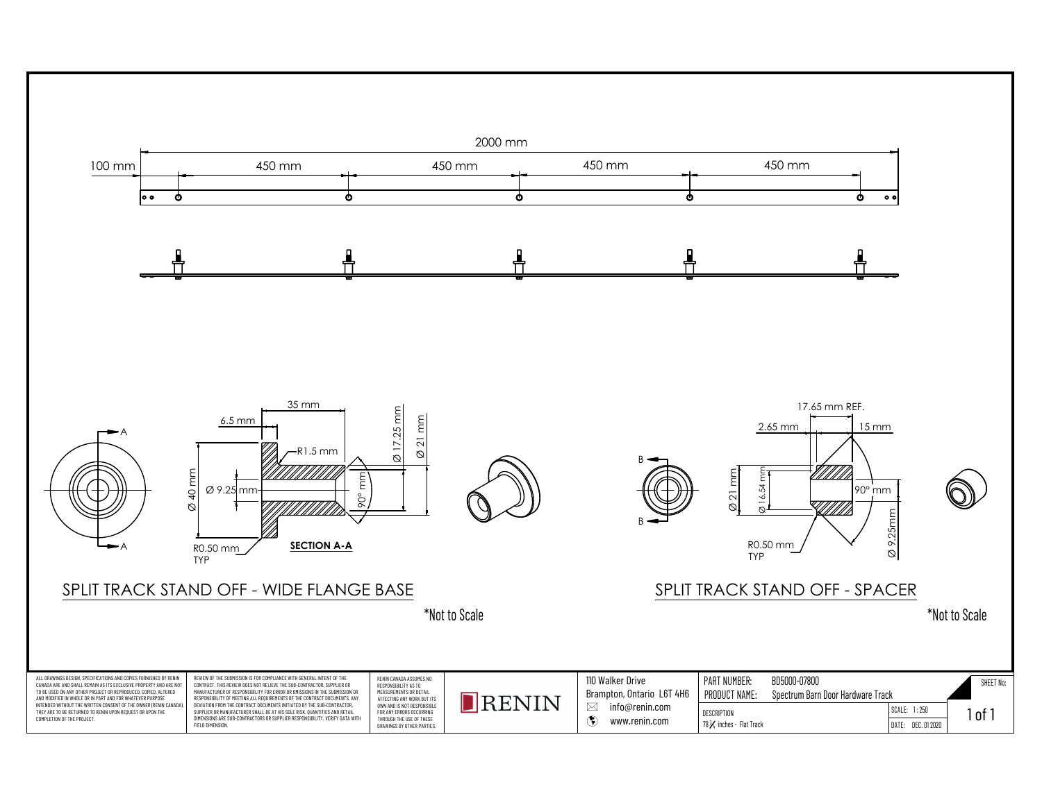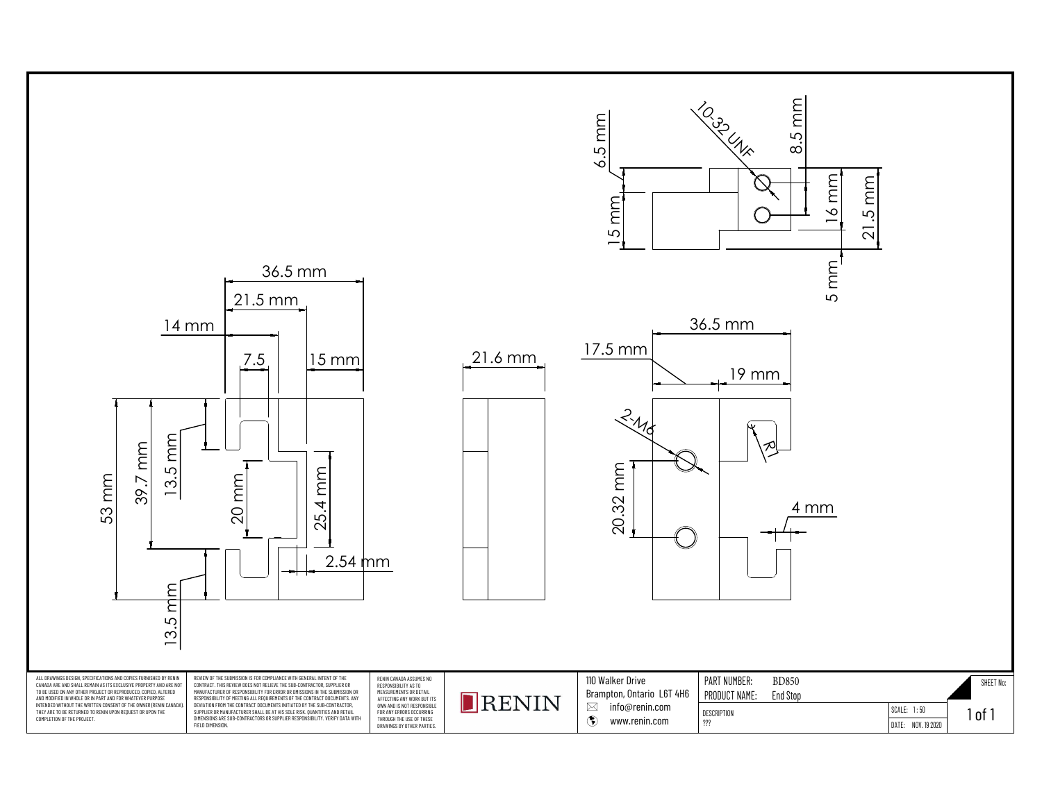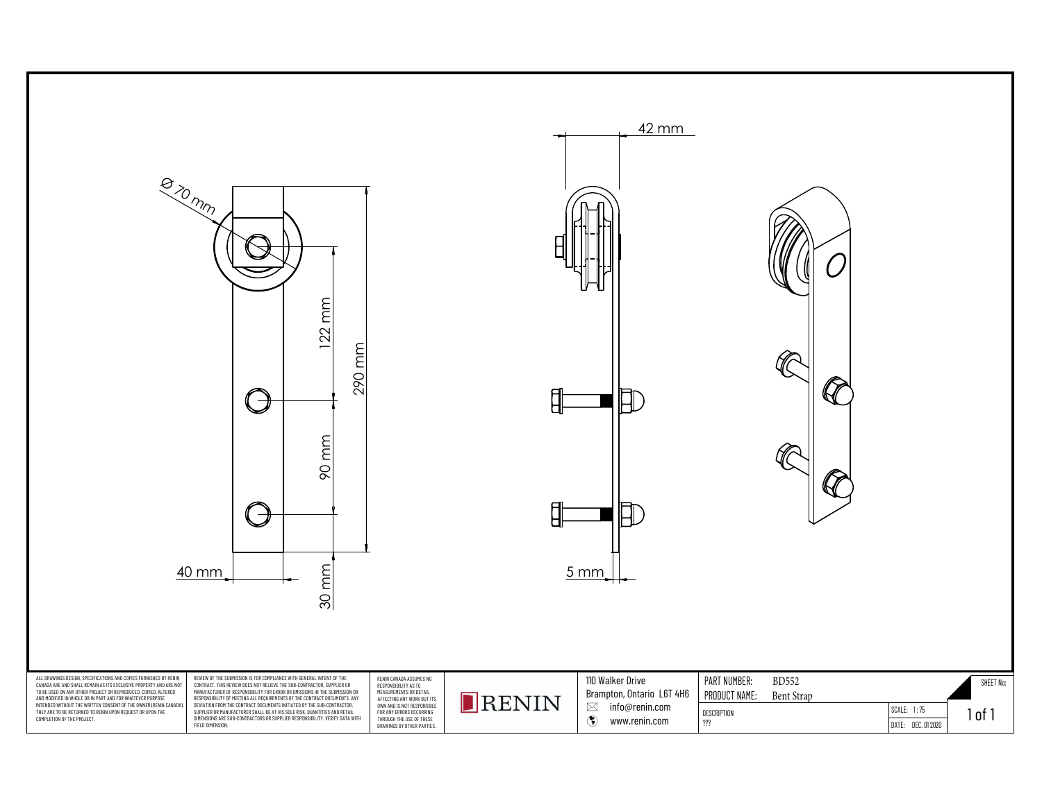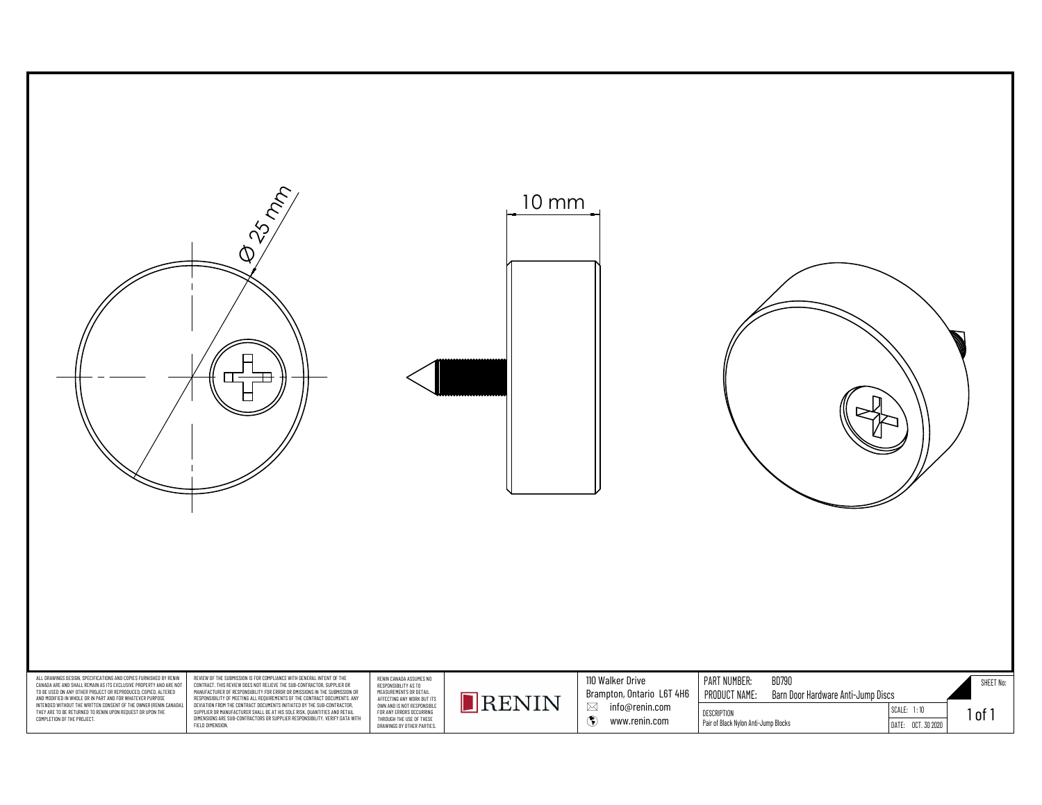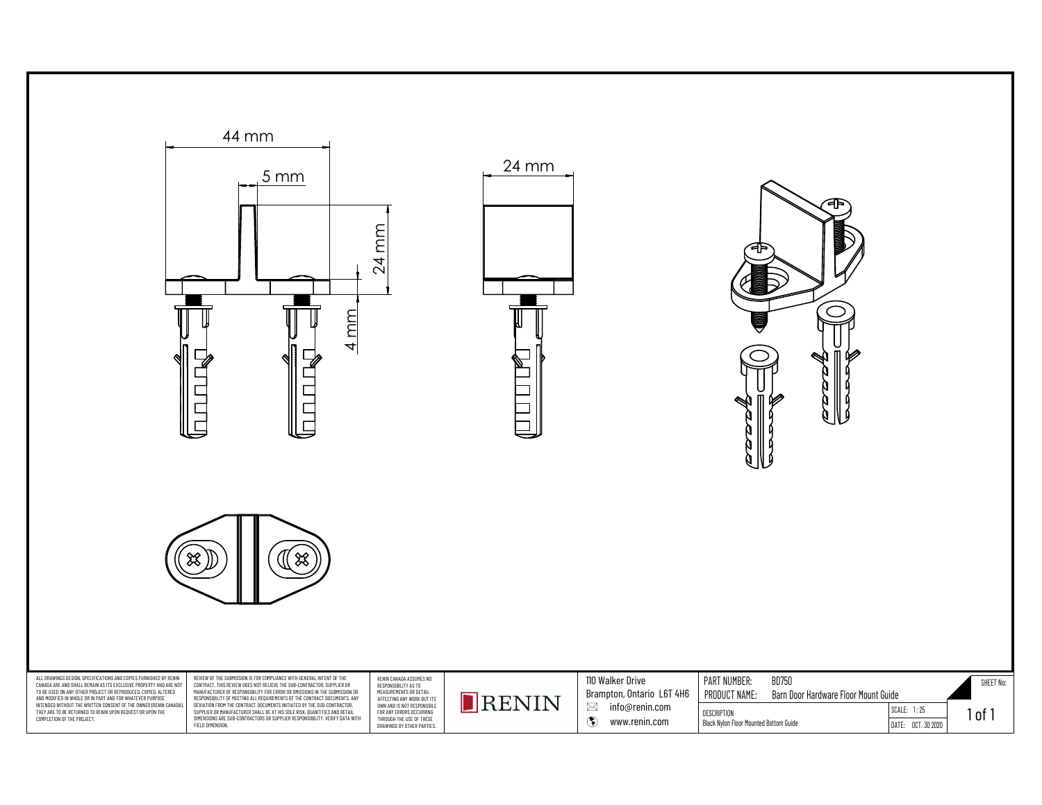